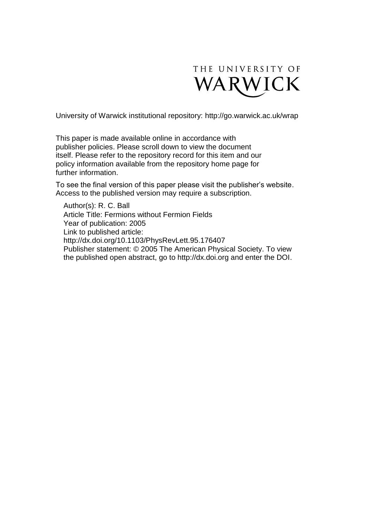

University of Warwick institutional repository:<http://go.warwick.ac.uk/wrap>

This paper is made available online in accordance with publisher policies. Please scroll down to view the document itself. Please refer to the repository record for this item and our policy information available from the repository home page for further information.

To see the final version of this paper please visit the publisher's website. Access to the published version may require a subscription.

Author(s): R. C. Ball Article Title: Fermions without Fermion Fields Year of publication: 2005 Link to published article: http://dx.doi.org/10.1103/PhysRevLett.95.176407 Publisher statement: © 2005 The American Physical Society. To view the published open abstract, go to http://dx.doi.org and enter the DOI.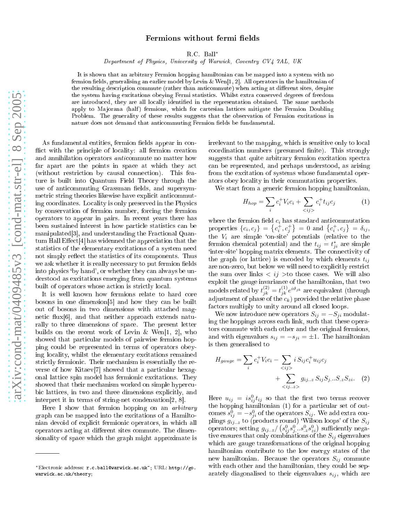## Fermions without fermi fields

R.C. Ball<sup>∗</sup>

Department of Physi
s, University of Warwi
k, Coventry CV4 7AL, UK

It is shown that an arbitrary Fermion hopping hamiltonian can be mapped into a system with no fermion fields, generalising an earlier model by Levin & Wen[1, 2]. All operators in the hamiltonian of the resulting description commute (rather than anticommute) when acting at different sites, despite the system having excitations obeying Fermi statistics. Whilst extra conserved degrees of freedom are introduced, they are all locally identified in the representation obtained. The same methods apply to Majorana (half) fermions, which for cartesian lattices mitigate the Fermion Doubling Problem. The generality of these results suggests that the observation of Fermion excitations in nature does not demand that anticommuting Fermion fields be fundamental.

As fundamental entities, fermion fields appear in conflict with the principle of locality: all fermion creation and annihilation operators *anti*commute no matter how far apart are the points in space at which they act (without restriction by causal connection). This feature is built into Quantum Field Theory through the use of anticommuting Grassman fields, and supersymmetric string theories likewise have explicit anticommuting coordinates. Locality is only preserved in the Physics by conservation of fermion number, forcing the fermion operators to appear in pairs. In recent years there has been sustained interest in how particle statistics can be manipulated 3, and understanding the Fractional Quan $tum Hall Effect[4]$  has widenned the appreciation that the statisti
s of the elementary ex
itations of a system need not simply reflect the statistics of its components. Thus we ask whether it is really necessary to put fermion fields into physics 'by hand', or whether they can always be understood as excitations emerging from quantum systems built of operators whose action is strictly local.

It is well known how fermions relate to hard core bosons in one dimension<sup>[5]</sup> and how they can be built out of bosons in two dimensions with atta
hed magnetic flux $|6|$ , and that neither approach extends naturally to three dimensions of spa
e. The present letter builds on the recent work of Levin & Wen<sup>[1, 2]</sup>, who showed that particular models of pairwise fermion hopping ould be represented in terms of operators obeying lo
ality, whilst the elementary ex
itations remained strictly fermionic. Their mechanism is essentially the reverse of how Kitaev $[7]$  showed that a particular hexagonal lattice spin model has fermionic excitations. They showed that their mechanism worked on simple hypercubic lattices, in two and three dimensions explicitly, and interpret it in terms of string-net condensation $[2, 8]$ .

Here I show that fermion hopping on an *arbitrary* graph an be mapped into the ex
itations of a Hamiltonian devoid of expli
it fermioni operators, in whi
h all operators acting at different sites commute. The dimensionality of spa
e whi
h the graph might approximate is irrelevant to the mapping, whi
h is sensitive only to lo
al coordination numbers (presumed finite). This strongly suggests that quite arbitrary fermion excitation spectra an be represented, and perhaps understood, as arising from the excitation of systems whose fundamental operators obey lo
ality in their ommutation properties.

We start from a generic fermion hopping hamiltonian,

$$
H_{hop} = \sum_{i} c_i^+ V_i c_i + \sum_{\langle ij \rangle} c_i^+ t_{ij} c_j \tag{1}
$$

where the fermion field  $c_i$  has standard anticommutation properties  $\{c_i, c_j\} = \left\{c_i^+, c_j^+\right\} = 0$  and  $\left\{c_i^+, c_j\right\} = \delta_{ij}$ , the  $V_i$  are simple 'on-site' potentials (relative to the fermion chemical potential) and the  $t_{ij} = t_{ji}^*$  are simple 'inter-site' hopping matrix elements. The connectivity of the graph (or lattice) is encoded by which elements  $t_{ij}$ are non-zero, but below we will need to explicitly restrict the sum over links  $\langle ij \rangle$  to those cases. We will also exploit the gauge invarian
e of the hamiltonian, that two models related by  $t^{(2)}_{jk} = t^{(1)}_{jk} e^{i \vartheta_{jk}}$  are equivalent (through adjustment of phase of the  $c_k$ ) provided the relative phase factors multiply to unity around all closed loops.

We now introduce new operators  $S_{ij} = -S_{ji}$  modulating the hoppings a
ross ea
h link, su
h that these operators ommute with ea
h other and the original fermions, and with eigenvalues  $s_{ij} = -s_{ji} = \pm 1$ . The hamiltonian is then generalised to

$$
H_{gauge} = \sum_{i} c_i^+ V_i c_i - \sum_{\langle ij \rangle} i S_{ij} c_i^+ u_{ij} c_j + \sum_{\langle ij \rangle, z \rangle} g_{ij..z} S_{ij} S_j... S_{.z} S_{zi}. \quad (2)
$$

Here  $u_{ij} = i s_{ij}^0 t_{ij}$  so that the first two terms recover the hopping hamiltonian (1) for a particular set of outcomes  $s_{ij}^0 = -s_{ji}^0$  of the operators  $S_{ij}$ . We add extra couplings  $g_{ij..z}$  to (products round) 'Wilson loops' of the  $S_{ij}$ operators; setting  $g_{ij..z}/(s_{ij}^0 s_j^0...s_{z}^0 s_{zi}^0)$  sufficiently negative ensures that only combinations of the  $S_{ij}$  eigenvalues which are gauge transformations of the original hopping hamiltonian ontribute to the low energy states of the new hamiltonian. Because the operators  $S_{ij}$  commute with each other and the hamiltonian, they could be separately diagonalised to their eigenvalues  $s_{ij}$ , which are

<sup>\*</sup>Electronic address: r.c.ball@warwick.ac.uk<sup>\*</sup>; URL: http://go. warwick.ac.uk/theory;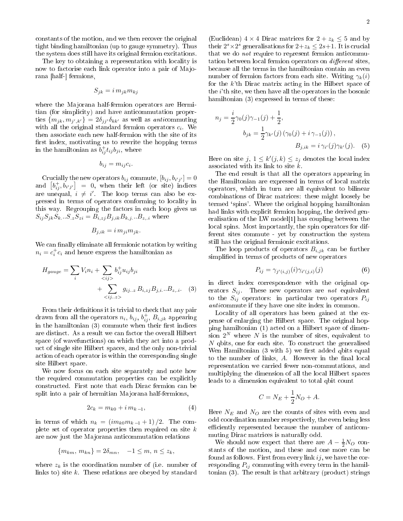constants of the motion, and we then recover the original tight binding hamiltonian (up to gauge symmetry). Thus the system does still have its original fermion excitations.

The key to obtaining a representation with locality is now to factorise each link operator into a pair of Majorana [half-] fermions,

$$
S_{jk} = i \, m_{jk} m_{kj}
$$

where the Majorana half-fermion operators are Hermitian (for simplicity) and have anticommutation properties  ${m_{jk}, m_{j',k'}} = 2\delta_{jj'}\delta_{kk'}$  as well as anticommuting with all the original standard fermion operators  $c_i$ . We then asso
iate ea
h new half-fermion with the site of its first index, motivating us to rewrite the hopping terms in the hamiltonian as  $b_{ij}^{\dagger}t_{ij}b_{ji}$ , where

$$
b_{ij} = m_{ij}c_i.
$$

Crucially the new operators  $b_{ij}$  commute,  $[b_{ij}, b_{i'j'}]=0$ and  $[b_{ij}^+, b_{i'j'}] = 0$ , when their left (or site) indices are unequal,  $i \neq i'$  The loop terms can also be expressed in terms of operators onforming to lo
ality in this way. Regrouping the factors in each loop gives us  $S_{ij}S_{jk}S_{k}...S_{z}S_{zi} = B_{i,zi}B_{j,ik}B_{k,j}...B_{z,i}$  where

$$
B_{j,ik} = i \, m_{ji} m_{jk}.
$$

We can finally eliminate all fermionic notation by writing  $n_i = c_i^{\dagger} c_i$  and hence express the hamiltonian as

$$
H_{gauge} = \sum_{i} V_i n_i + \sum_{\langle ij \rangle} b_{ij}^{\dagger} u_{ij} b_{ji}
$$
  
+ 
$$
\sum_{\langle ij..z \rangle} g_{ij..z} B_{i, zj} B_{j, i} ... B_{z, i}.
$$
 (3)

From their definitions it is trivial to check that any pair drawn from all the operators  $n_i$ ,  $b_{ij}$ ,  $b_{ij}^+$ ,  $B_{i,jk}$  appearing in the hamiltonian (3) commute when their first indices are distin
t. As a result we an fa
tor the overall Hilbert space (of wavefunctions) on which they act into a produ
t of single site Hilbert spa
es, and the only non-trivial a
tion of ea
h operator is within the orresponding single site Hilbert spa
e.

We now focus on each site separately and note how the required commutation properties can be explicitly onstru
ted. First note that ea
h Dira fermion an be split into a pair of hermitian Majorana half-fermions,

$$
2c_k = m_{k0} + i m_{k-1}, \t\t(4)
$$

in terms of which  $n_k = (i m_{k0} m_{k-1} + 1)/2$ . The complete set of operator properties then required on site  $k$ are now just the Majorana anticommutation relations

$$
\{m_{km},\,m_{kn}\}=2\delta_{mn},\quad -1\leq m,\,n\leq z_k,
$$

where  $z_k$  is the coordination number of (i.e. number of links to) site  $k$ . These relations are obeyed by standard

(Euclidean)  $4 \times 4$  Dirac matrices for  $2 + z_k \leq 5$  and by their  $2^s \times 2^s$  generalisations for  $2 + z_k \leq 2s + 1$ . It is crucial that we do *not* require to represent fermion anticommutation between local fermion operators on *different* sites, be
ause all the terms in the hamiltonian ontain an even number of fermion factors from each site. Writing  $\gamma_k(i)$ for the  $k$ <sup>th</sup> Dirac matrix acting in the Hilbert space of the  $i$ <sup>th</sup> site, we then have all the operators in the bosonic hamiltonian (3) expressed in terms of these:

$$
n_j = \frac{i}{2} \gamma_0(j) \gamma_{-1}(j) + \frac{1}{2},
$$
  
\n
$$
b_{jk} = \frac{1}{2} \gamma_{k'}(j) (\gamma_0(j) + i \gamma_{-1}(j)),
$$
  
\n
$$
B_{j,ik} = i \gamma_{i'}(j) \gamma_{k'}(j).
$$
 (5)

Here on site  $j, 1 \leq k'(j, k) \leq z_j$  denotes the local index asso
iated with its link to site k.

The end result is that all the operators appearing in the Hamiltonian are expressed in terms of lo
al matrix operators, whi
h in turn are all equivalent to bilinear ombinations of Dira matri
es: these might loosely be termed `spins'. Where the original hopping hamiltonian had links with explicit fermion hopping, the derived generalisation of the LW model<sup>[1]</sup> has coupling between the lo
al spins. Most importantly, the spin operators for different sites commute - yet by construction the system still has the original fermionic excitations.

The loop products of operators  $B_{i,jk}$  can be further simplified in terms of products of new operators

$$
P_{ij} = \gamma_{j'(i,j)}(i)\gamma_{i'(j,i)}(j) \tag{6}
$$

in dire
t index orresponden
e with the original operators  $S_{ij}$ . These new operators are not equivalent to the  $S_{ij}$  operators: in particular two operators  $P_{ij}$ anticommute if they have one site index in common.

Locality of all operators has been gained at the expense of enlarging the Hilbert spa
e. The original hopping hamiltonian (1) a
ted on a Hilbert spa
e of dimension  $2^N$  where N is the number of sites, equivalent to N qbits, one for each site. To construct the generalised Wen Hamiltonian  $(3 \text{ with } 5)$  we first added qbits equal to the number of links,  $A$ . However in the final local representation we arried fewer nonommutations, and multiplying the dimension of all the lo
al Hilbert spa
es leads to a dimension equivalent to total qbit count

$$
C = N_E + \frac{1}{2}N_O + A.
$$

Here  $N_E$  and  $N_O$  are the counts of sites with even and odd oordination number respe
tively, the even being less efficiently represented because the number of anticommuting Dira matri
es is naturally odd.

We should now expect that there are  $A - \frac{1}{2}N_O$  constants of the motion, and these and one more can be found as follows. First from every link  $ij$ , we have the corresponding  $P_{ij}$  commuting with every term in the hamil- $\frac{1}{2}$  tonian (3). The result is that arbitrary (product) strings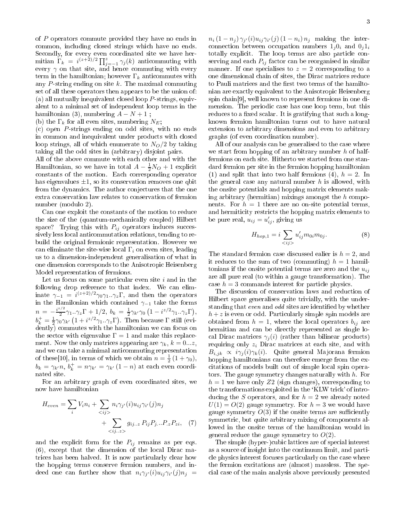of P operators ommute provided they have no ends in ommon, in
luding losed strings whi
h have no ends. Secondly, for every even coordinated site we have hermitian  $\Gamma_k = i^{(z+\tilde{2})/2} \prod_{j=-1}^{z} \gamma_j(k)$  anticommuting with every  $\gamma$  on that site, and hence commuting with every term in the hamiltonian; however  $\Gamma_k$  anticommutes with any  $P$ -string ending on site  $k$ . The maximal commuting set of all these operators then appears to be the union of: (a) all mutually inequivalent closed loop  $P$ -strings, equivalent to a minimal set of independent loop terms in the hamiltonian (3), numbering  $A - N + 1$ ;

(b) the  $\Gamma_k$  for all even sites, numbering  $N_E$ ;

(
) open P -strings ending on odd sites, with no ends in common and inequivalent under products with closed loop strings, all of which enumerate to  $N_O/2$  by taking taking all the odd sites in (arbitrary) disjoint pairs.

All of the above ommute with ea
h other and with the Hamiltonian, so we have in total  $A - \frac{1}{2}N_O + 1$  explicit onstants of the motion. Ea
h orresponding operator has eigenvalues  $\pm 1$ , so its conservation removes one qbit from the dynamics. The author conjectures that the one extra onservation law relates to onservation of fermion number (modulo 2).

Can one exploit the onstants of the motion to redu
e the size of the (quantum-me
hani
ally oupled) Hilbert space? Trying this with  $P_{ij}$  operators induces successively less local anticommutation relations, tending to rebuild the original fermionic representation. However we can eliminate the site-wise local  $\Gamma_i$  on even sites, leading us to a dimension-independent generalisation of what in one dimension orresponds to the Anisotropi Heisenberg Model representation of fermions.

Let us focus on some particular even site  $i$  and in the following drop reference to that index. We can eliminate  $\gamma_{-1} = i^{(z+2)/2} \gamma_0 \gamma_1 \cdot \gamma_z \Gamma$ , and then the operators in the Hamilonian which contained  $\gamma_{-1}$  take the forms  $n = -\frac{i^{z/2}}{2}$  $n = -\frac{i^{z/2}}{2}\gamma_1..\gamma_z \Gamma + 1/2, b_k = \frac{1}{2}\gamma_{k'}\gamma_0 \left(1 - i^{z/2}\gamma_1..\gamma_z \Gamma\right),$ <br>  $b_k^+ = \frac{1}{2}\gamma_0 \gamma_{k'} \left(1 + i^{z/2}\gamma_1..\gamma_z \Gamma\right)$ . Then because  $\Gamma$  still (evidently) commutes with the hamiltonian we can focus on the sector with eigenvalue  $\Gamma = 1$  and make this replacement. Now the only matrices appearing are  $\gamma_k$ ,  $k = 0...z$ , and we can take a minimal anticommuting representation of these[10], in terms of which we obtain  $n = \frac{1}{2}(1 + \gamma_0)$ ,  $b_k = \gamma_{k'} n, b_k^+ = n\gamma_{k'} = \gamma_{k'} (1 - n)$  at each even coordi-

For an arbitrary graph of even oordinated sites, we now have hamiltonian

$$
H_{even} = \sum_{i} V_i n_i + \sum_{\langle ij \rangle} n_i \gamma_{j'}(i) u_{ij} \gamma_{i'}(j) n_j
$$
  
+ 
$$
\sum_{\langle ij \rangle, z \rangle} g_{ij..z} P_{ij} P_{j..} P_{,z} P_{zi}, \quad (7)
$$

and the explicit form for the  $P_{ij}$  remains as per eqs. (6), ex
ept that the dimension of the lo
al Dira matrices has been halved. It is now particularly clear how the hopping terms onserve fermion numbers, and indeed one can further show that  $n_i\gamma_{j'}(i)u_{ij}\gamma_{i'}(j)n_j =$ 

 $n_i(1-n_j)\gamma_{j'}(i)u_{ij}\gamma_{i'}(j)(1-n_i)n_j$  making the interconnection between occupation numbers  $1_i0_i$  and  $0_i1_i$ totally explicit. The loop terms are also particle conserving and each  $P_{ij}$  factor can be reorganised in similar manner. If one specialises to  $z = 2$  corresponding to a one dimensional chain of sites, the Dirac matrices reduce to Pauli matrices and the first two terms of the hamiltonian are exa
tly equivalent to the Anisotropi Heisenberg spin chain<sup>[9]</sup>, well known to represent fermions in one dimension. The periodic case has one loop term, but this reduces to a fixed scalar. It is gratifying that such a longknown fermion hamiltonian turns out to have natural extension to arbitrary dimensions and even to arbitrary graphs (of even oordination number).

All of our analysis can be generalised to the case where we start from hopping of an arbitrary number  $h$  of halffermions on ea
h site. Hitherto we started from one standard fermion per site in the fermion hopping hamiltonian (1) and split that into two half fermions (4),  $h = 2$ . In the general case any natural number  $h$  is allowed, with the onsite potentials and hopping matrix elements making arbitrary (hermitian) mixings amongst the  $h$  components. For  $h = 1$  there are no on-site potential terms, and hermiticity restricts the hopping matrix elements to be pure real,  $u_{ij} = u'_{ij}$ , giving us

$$
H_{hop,1} = i \sum_{\langle ij \rangle} u'_{ij} m_{0i} m_{0j}.
$$
 (8)

The standard fermion case discussed ealier is  $h = 2$ , and it reduces to the sum of two (commuting)  $h = 1$  hamiltonians if the onsite potential terms are zero and the  $u_{ij}$ are all pure real (to within a gauge transformation). The case  $h = 3$  commands interest for particle physics.

The discussion of conservation laws and reduction of Hilbert spa
e generalises quite trivially, with the understanding that even and odd sites are identified by whether  $h + z$  is even or odd. Particularly simple spin models are obtained from  $h = 1$ , where the local operators  $b_{ij}$  are hermitian and can be directly represented as single local Dirac matrices  $\gamma_i(i)$  (rather than bilinear products) requiring only  $z_i$  Dirac matrices at each site, and with  $B_{i,jk} \propto i\gamma_j(i)\gamma_k(i)$ . Quite general Majorana fermion hopping hamiltonians can therefore emerge from the excitations of models built out of simple local spin operators. The gauge symmetry changes naturally with  $h$ . For  $h = 1$  we have only Z2 (sign changes), corresponding to the transformations exploited in the 'KLW trick' of introducing the S operators, and for  $h = 2$  we already noted  $U(1) = O(2)$  gauge symmetry. For  $h = 3$  we would have gauge symmetry  $O(3)$  if the onsite terms are sufficiently symmetric, but quite arbitrary mixing of components allowed in the onsite terms of the hamiltonian would in general reduce the gauge symmetry to  $O(2)$ .

The simple (hyper-)cubic lattices are of special interest as a sour
e of insight into the ontinuum limit, and parti le physi
s interest fo
uses parti
ularly on the ase where the fermion ex
itations are (almost) massless. The spe ial ase of the main analysis above previously presented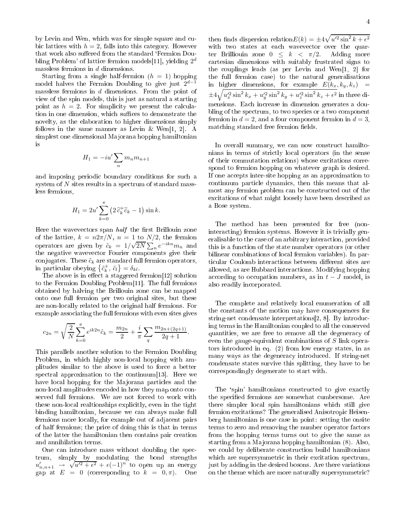by Levin and Wen, which was for simple square and cubic lattices with  $h = 2$ , falls into this category. However that work also suffered from the standard 'Fermion Doubling Problem' of lattice fermion models[11], yielding  $2^d$ massless fermions in d dimensions.

Starting from a single half-fermion  $(h = 1)$  hopping model halves the Fermion Doubling to give just  $2^{d-1}$ massless fermions in d dimensions. From the point of view of the spin models, this is just as natural a starting point as  $h = 2$ . For simplicity we present the calculation in one dimension, which suffices to demonstrate the novelty, as the elaboration to higher dimensions simply follows in the same manner as Levin & Wen[1, 2]. A simplest one dimensional Majorana hopping hamiltonian is

$$
H_1 = -iu' \sum_n m_n m_{n+1}
$$

and imposing periodic boundary conditions for such a system of N sites results in a spectrum of standard massless fermions,

$$
H_1 = 2u' \sum_{k=0}^{\pi} \left( 2 \tilde{c}_k^+ \tilde{c}_k - 1 \right) \sin k.
$$

Here the wavevectors span  $half$  the first Brillouin zone of the lattice,  $k = n2\pi/N$ ,  $n = 1$  to  $N/2$ , the fermion operators are given by  $\tilde{c}_k = 1/\sqrt{2N} \sum_{n=0}^{\infty} e^{-ikn} m_n$  and the negative waveve
tor Fourier omponents give their conjugates. These  $\tilde{c}_k$  are standard full fermion operators, in particular obeying  $\{\tilde{c}_k^+, \tilde{c}_l\} = \delta_{kl}$ .

The above is in effect a staggered fermion [12] solution to the Fermion Doubling Problem[11]. The full fermions obtained by halving the Brillouin zone an be mapped onto one full fermion per two original sites, but these are non-lo
ally related to the original half fermions. For example asso
iating the full fermions with even sites gives

$$
c_{2n} = \sqrt{\frac{2}{N}} \sum_{k=0}^{\pi} e^{ik2n} \tilde{c}_k = \frac{m_{2n}}{2} + \frac{i}{\pi} \sum_{q} \frac{m_{2n+2q+1}}{2q+1}.
$$

This parallels another solution to the Fermion Doubling Problem, in which highly non-local hopping with amplitudes similar to the above is used to for
e a better spectral approximation to the continuum  $|13|$ . Here we have local hopping for the Majorana particles and the non-local amplitudes encoded in how they map onto conserved full fermions. We are not for
ed to work with these non-local realtionships explicitly, even in the tight binding hamiltonian, be
ause we an always make full fermions more lo
ally, for example out of adja
ent pairs of half fermions; the pri
e of doing this is that in terms of the latter the hamiltonian then ontains pair reation and annihilation terms.

One can introduce mass without doubling the spectrum, simply by modulating the bond strengths  $u'_{n,n+1} \rightarrow$  $\sqrt{u^2 + \epsilon^2} + \epsilon (-1)^n$  to open up an energy gap at  $E = 0$  (corresponding to  $k = 0, \pi$ ). One

then finds dispersion relation $E(k) = \pm 4\sqrt{u'^2 \sin^2 k + \epsilon^2}$ with two states at each wavevector over the quarter Brilliouin zone  $0 \leq k < \pi/2$ . Adding more artesian dimensions with suitably frustrated signs to the couplings leads (as per Levin and Wen $[1, 2]$  for the full fermion ase) to the natural generalisations in higher dimensions, for example  $E(k_x, k_y, k_z)$  =  $\pm 4\sqrt{u_x^{\prime 2}\sin^2 k_x + u_y^{\prime 2}\sin^2 k_y + u_z^{\prime 2}\sin^2 k_z + \epsilon^2}$  in three dimensions. Ea
h in
rease in dimension generates a doubling of the spectrum, to two species or a two component fermion in  $d = 2$ , and a four component fermion in  $d = 3$ , matching standard free fermion fields.

In overall summary, we can now construct hamiltonians in terms of stri
tly lo
al operators (in the sense of their ommutation relations) whose ex
itations orrespond to fermion hopping on whatever graph is desired. If one accepts inter-site hopping as an approximation to ontinuum parti
le dynami
s, then this means that almost any fermion problem can be constructed out of the excitations of what might loosely have been described as a Bose system.

The method has been presented for free (nonintera
ting) fermion systems. However it is trivially generalisable to the ase of an arbitrary intera
tion, provided this is a fun
tion of the state number operators (or other bilinear ombinations of lo
al fermion variables). In particular Coulomb interactions between different sites are allowed, as are Hubbard intera
tions. Modifying hopping according to occupation numbers, as in  $t-J$  model, is also readily in
orporated.

The omplete and relatively lo
al enumeration of all the onstants of the motion may have onsequen
es for string-net condensate interpretations $[2, 8]$ . By introducing terms in the Hamiltonian coupled to all the conserved quantities, we are free to remove all the degeneracy of even the gauge-equivalent ombinations of S link operators introdu
ed in eq. (2) from low energy states, in as many ways as the degeneracy introduced. If string-net ondensate states survive this splitting, they have to be orrespondingly degenerate to start with.

The 'spin' hamiltonians constructed to give exactly the specified fermions are somewhat cumbersome. Are there simpler lo
al spin hamiltonians whi
h still give fermion excitations? The generalised Anisotropic Heisenberg hamiltonian is one case in point: setting the onsite terms to zero and removing the number operator factors from the hopping terms turns out to give the same as starting from a Majorana hopping hamiltonian (8). Also, we could by deliberate construction build hamiltonians which are supersymmetric in their excitation spectrum, just by adding in the desired bosons. Are there variations on the theme whi
h are more naturally supersymmetri
?